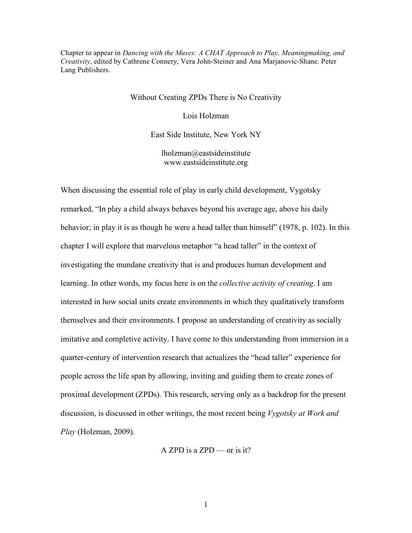Chapter to appear in *Dancing with the Muses: A CHAT Approach to Play, Meaningmaking, and Creativity*, edited by Cathrene Connery, Vera John-Steiner and Ana Marjanovic-Shane. Peter Lang Publishers.

Without Creating ZPDs There is No Creativity

Lois Holzman

East Side Institute, New York NY

lholzman@eastsideinstitute www.eastsideinstitute.org

When discussing the essential role of play in early child development, Vygotsky remarked, "In play a child always behaves beyond his average age, above his daily behavior; in play it is as though he were a head taller than himself" (1978, p. 102). In this chapter I will explore that marvelous metaphor "a head taller" in the context of investigating the mundane creativity that is and produces human development and learning. In other words, my focus here is on the *collective activity of creating*. I am interested in how social units create environments in which they qualitatively transform themselves and their environments. I propose an understanding of creativity as socially imitative and completive activity. I have come to this understanding from immersion in a quarter-century of intervention research that actualizes the "head taller" experience for people across the life span by allowing, inviting and guiding them to create zones of proximal development (ZPDs). This research, serving only as a backdrop for the present discussion, is discussed in other writings, the most recent being *Vygotsky at Work and Play* (Holzman, 2009).

A ZPD is a ZPD — or is it?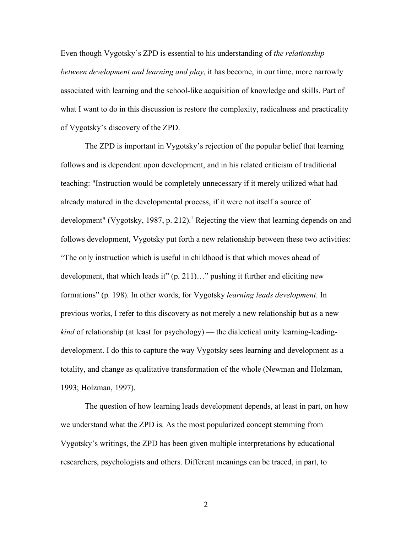Even though Vygotsky's ZPD is essential to his understanding of *the relationship between development and learning and play*, it has become, in our time, more narrowly associated with learning and the school-like acquisition of knowledge and skills. Part of what I want to do in this discussion is restore the complexity, radicalness and practicality of Vygotsky's discovery of the ZPD.

The ZPD is important in Vygotsky's rejection of the popular belief that learning follows and is dependent upon development, and in his related criticism of traditional teaching: "Instruction would be completely unnecessary if it merely utilized what had already matured in the developmental process, if it were not itself a source of development" (Vygotsky, 1987, p. 212).<sup>1</sup> Rejecting the view that learning depends on and follows development, Vygotsky put forth a new relationship between these two activities: "The only instruction which is useful in childhood is that which moves ahead of development, that which leads it" (p. 211)…" pushing it further and eliciting new formations" (p. 198). In other words, for Vygotsky *learning leads development*. In previous works, I refer to this discovery as not merely a new relationship but as a new *kind* of relationship (at least for psychology) — the dialectical unity learning-leadingdevelopment. I do this to capture the way Vygotsky sees learning and development as a totality, and change as qualitative transformation of the whole (Newman and Holzman, 1993; Holzman, 1997).

The question of how learning leads development depends, at least in part, on how we understand what the ZPD is. As the most popularized concept stemming from Vygotsky's writings, the ZPD has been given multiple interpretations by educational researchers, psychologists and others. Different meanings can be traced, in part, to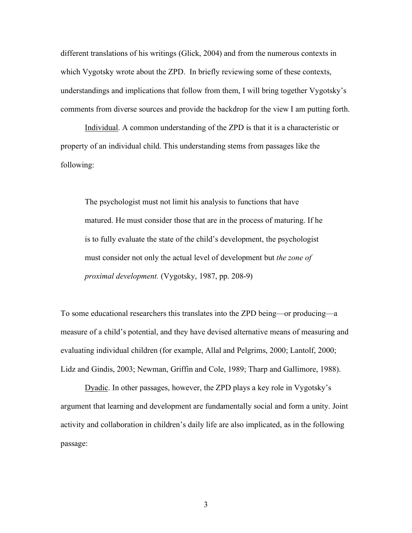different translations of his writings (Glick, 2004) and from the numerous contexts in which Vygotsky wrote about the ZPD. In briefly reviewing some of these contexts, understandings and implications that follow from them, I will bring together Vygotsky's comments from diverse sources and provide the backdrop for the view I am putting forth.

Individual. A common understanding of the ZPD is that it is a characteristic or property of an individual child. This understanding stems from passages like the following:

The psychologist must not limit his analysis to functions that have matured. He must consider those that are in the process of maturing. If he is to fully evaluate the state of the child's development, the psychologist must consider not only the actual level of development but *the zone of proximal development.* (Vygotsky, 1987, pp. 208-9)

To some educational researchers this translates into the ZPD being—or producing—a measure of a child's potential, and they have devised alternative means of measuring and evaluating individual children (for example, Allal and Pelgrims, 2000; Lantolf, 2000; Lidz and Gindis, 2003; Newman, Griffin and Cole, 1989; Tharp and Gallimore, 1988).

Dyadic. In other passages, however, the ZPD plays a key role in Vygotsky's argument that learning and development are fundamentally social and form a unity. Joint activity and collaboration in children's daily life are also implicated, as in the following passage: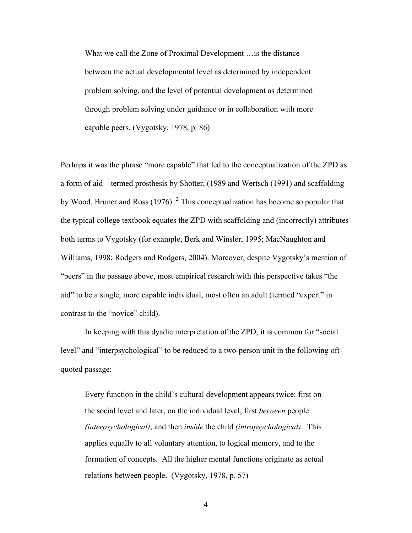What we call the Zone of Proximal Development …is the distance between the actual developmental level as determined by independent problem solving, and the level of potential development as determined through problem solving under guidance or in collaboration with more capable peers. (Vygotsky, 1978, p. 86)

Perhaps it was the phrase "more capable" that led to the conceptualization of the ZPD as a form of aid—termed prosthesis by Shotter, (1989 and Wertsch (1991) and scaffolding by Wood, Bruner and Ross (1976). <sup>2</sup> This conceptualization has become so popular that the typical college textbook equates the ZPD with scaffolding and (incorrectly) attributes both terms to Vygotsky (for example, Berk and Winsler, 1995; MacNaughton and Williams, 1998; Rodgers and Rodgers, 2004). Moreover, despite Vygotsky's mention of "peers" in the passage above, most empirical research with this perspective takes "the aid" to be a single, more capable individual, most often an adult (termed "expert" in contrast to the "novice" child).

In keeping with this dyadic interpretation of the ZPD, it is common for "social level" and "interpsychological" to be reduced to a two-person unit in the following oftquoted passage:

Every function in the child's cultural development appears twice: first on the social level and later, on the individual level; first *between* people *(interpsychological)*, and then *inside* the child *(intrapsychological)*. This applies equally to all voluntary attention, to logical memory, and to the formation of concepts. All the higher mental functions originate as actual relations between people. (Vygotsky, 1978, p. 57)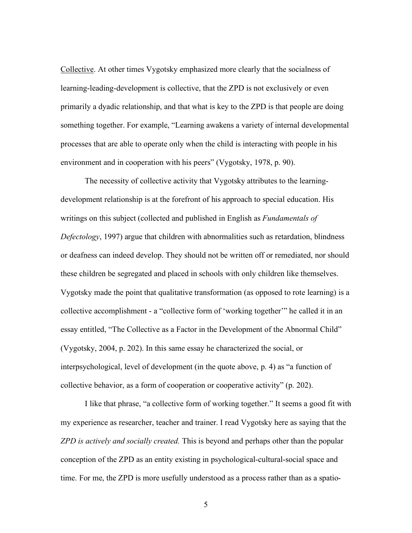Collective. At other times Vygotsky emphasized more clearly that the socialness of learning-leading-development is collective, that the ZPD is not exclusively or even primarily a dyadic relationship, and that what is key to the ZPD is that people are doing something together. For example, "Learning awakens a variety of internal developmental processes that are able to operate only when the child is interacting with people in his environment and in cooperation with his peers" (Vygotsky, 1978, p. 90).

The necessity of collective activity that Vygotsky attributes to the learningdevelopment relationship is at the forefront of his approach to special education. His writings on this subject (collected and published in English as *Fundamentals of Defectology*, 1997) argue that children with abnormalities such as retardation, blindness or deafness can indeed develop. They should not be written off or remediated, nor should these children be segregated and placed in schools with only children like themselves. Vygotsky made the point that qualitative transformation (as opposed to rote learning) is a collective accomplishment - a "collective form of 'working together'" he called it in an essay entitled, "The Collective as a Factor in the Development of the Abnormal Child" (Vygotsky, 2004, p. 202). In this same essay he characterized the social, or interpsychological, level of development (in the quote above, p. 4) as "a function of collective behavior, as a form of cooperation or cooperative activity" (p. 202).

I like that phrase, "a collective form of working together." It seems a good fit with my experience as researcher, teacher and trainer. I read Vygotsky here as saying that the *ZPD is actively and socially created.* This is beyond and perhaps other than the popular conception of the ZPD as an entity existing in psychological-cultural-social space and time. For me, the ZPD is more usefully understood as a process rather than as a spatio-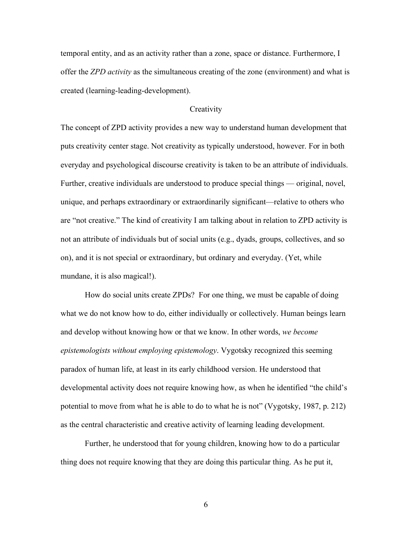temporal entity, and as an activity rather than a zone, space or distance. Furthermore, I offer the *ZPD activity* as the simultaneous creating of the zone (environment) and what is created (learning-leading-development).

# **Creativity**

The concept of ZPD activity provides a new way to understand human development that puts creativity center stage. Not creativity as typically understood, however. For in both everyday and psychological discourse creativity is taken to be an attribute of individuals. Further, creative individuals are understood to produce special things — original, novel, unique, and perhaps extraordinary or extraordinarily significant—relative to others who are "not creative." The kind of creativity I am talking about in relation to ZPD activity is not an attribute of individuals but of social units (e.g., dyads, groups, collectives, and so on), and it is not special or extraordinary, but ordinary and everyday. (Yet, while mundane, it is also magical!).

How do social units create ZPDs? For one thing, we must be capable of doing what we do not know how to do, either individually or collectively. Human beings learn and develop without knowing how or that we know. In other words, *we become epistemologists without employing epistemology*. Vygotsky recognized this seeming paradox of human life, at least in its early childhood version. He understood that developmental activity does not require knowing how, as when he identified "the child's potential to move from what he is able to do to what he is not" (Vygotsky, 1987, p. 212) as the central characteristic and creative activity of learning leading development.

Further, he understood that for young children, knowing how to do a particular thing does not require knowing that they are doing this particular thing. As he put it,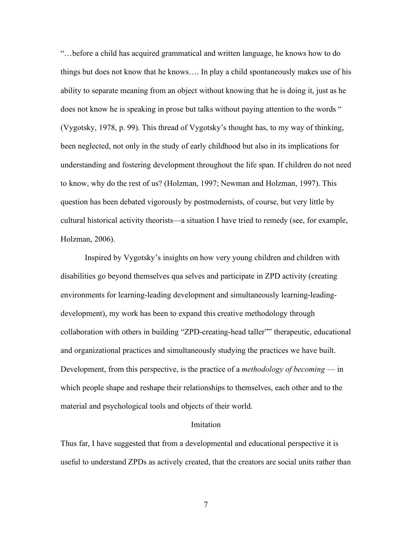"…before a child has acquired grammatical and written language, he knows how to do things but does not know that he knows…. In play a child spontaneously makes use of his ability to separate meaning from an object without knowing that he is doing it, just as he does not know he is speaking in prose but talks without paying attention to the words " (Vygotsky, 1978, p. 99). This thread of Vygotsky's thought has, to my way of thinking, been neglected, not only in the study of early childhood but also in its implications for understanding and fostering development throughout the life span. If children do not need to know, why do the rest of us? (Holzman, 1997; Newman and Holzman, 1997). This question has been debated vigorously by postmodernists, of course, but very little by cultural historical activity theorists—a situation I have tried to remedy (see, for example, Holzman, 2006).

Inspired by Vygotsky's insights on how very young children and children with disabilities go beyond themselves qua selves and participate in ZPD activity (creating environments for learning-leading development and simultaneously learning-leadingdevelopment), my work has been to expand this creative methodology through collaboration with others in building "ZPD-creating-head taller"" therapeutic, educational and organizational practices and simultaneously studying the practices we have built. Development, from this perspective, is the practice of a *methodology of becoming* — in which people shape and reshape their relationships to themselves, each other and to the material and psychological tools and objects of their world.

### Imitation

Thus far, I have suggested that from a developmental and educational perspective it is useful to understand ZPDs as actively created, that the creators are social units rather than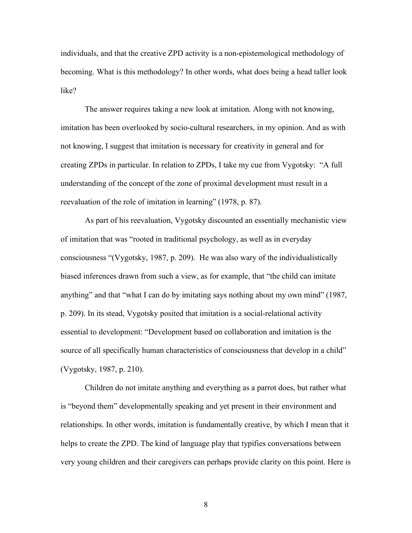individuals, and that the creative ZPD activity is a non-epistemological methodology of becoming. What is this methodology? In other words, what does being a head taller look like?

The answer requires taking a new look at imitation. Along with not knowing, imitation has been overlooked by socio-cultural researchers, in my opinion. And as with not knowing, I suggest that imitation is necessary for creativity in general and for creating ZPDs in particular. In relation to ZPDs, I take my cue from Vygotsky: "A full understanding of the concept of the zone of proximal development must result in a reevaluation of the role of imitation in learning" (1978, p. 87).

As part of his reevaluation, Vygotsky discounted an essentially mechanistic view of imitation that was "rooted in traditional psychology, as well as in everyday consciousness "(Vygotsky, 1987, p. 209). He was also wary of the individualistically biased inferences drawn from such a view, as for example, that "the child can imitate anything" and that "what I can do by imitating says nothing about my own mind" (1987, p. 209). In its stead, Vygotsky posited that imitation is a social-relational activity essential to development: "Development based on collaboration and imitation is the source of all specifically human characteristics of consciousness that develop in a child" (Vygotsky, 1987, p. 210).

Children do not imitate anything and everything as a parrot does, but rather what is "beyond them" developmentally speaking and yet present in their environment and relationships. In other words, imitation is fundamentally creative, by which I mean that it helps to create the ZPD. The kind of language play that typifies conversations between very young children and their caregivers can perhaps provide clarity on this point. Here is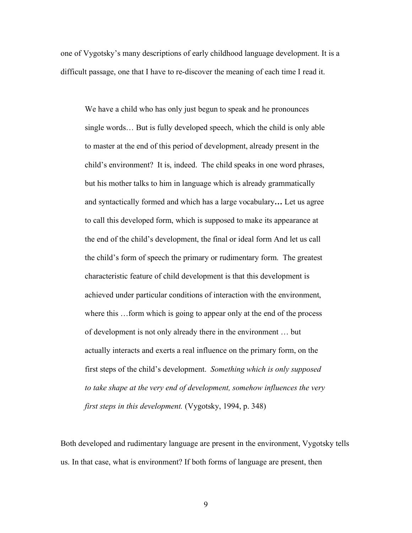one of Vygotsky's many descriptions of early childhood language development. It is a difficult passage, one that I have to re-discover the meaning of each time I read it.

We have a child who has only just begun to speak and he pronounces single words… But is fully developed speech, which the child is only able to master at the end of this period of development, already present in the child's environment? It is, indeed. The child speaks in one word phrases, but his mother talks to him in language which is already grammatically and syntactically formed and which has a large vocabulary**…** Let us agree to call this developed form, which is supposed to make its appearance at the end of the child's development, the final or ideal form And let us call the child's form of speech the primary or rudimentary form. The greatest characteristic feature of child development is that this development is achieved under particular conditions of interaction with the environment, where this ...form which is going to appear only at the end of the process of development is not only already there in the environment … but actually interacts and exerts a real influence on the primary form, on the first steps of the child's development. *Something which is only supposed to take shape at the very end of development, somehow influences the very first steps in this development.* (Vygotsky, 1994, p. 348)

Both developed and rudimentary language are present in the environment, Vygotsky tells us. In that case, what is environment? If both forms of language are present, then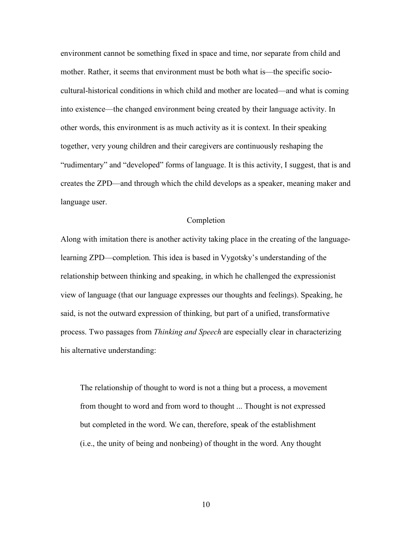environment cannot be something fixed in space and time, nor separate from child and mother. Rather, it seems that environment must be both what is—the specific sociocultural-historical conditions in which child and mother are located—and what is coming into existence—the changed environment being created by their language activity. In other words, this environment is as much activity as it is context. In their speaking together, very young children and their caregivers are continuously reshaping the "rudimentary" and "developed" forms of language. It is this activity, I suggest, that is and creates the ZPD—and through which the child develops as a speaker, meaning maker and language user.

# Completion

Along with imitation there is another activity taking place in the creating of the languagelearning ZPD—completion. This idea is based in Vygotsky's understanding of the relationship between thinking and speaking, in which he challenged the expressionist view of language (that our language expresses our thoughts and feelings). Speaking, he said, is not the outward expression of thinking, but part of a unified, transformative process. Two passages from *Thinking and Speech* are especially clear in characterizing his alternative understanding:

The relationship of thought to word is not a thing but a process, a movement from thought to word and from word to thought ... Thought is not expressed but completed in the word. We can, therefore, speak of the establishment (i.e., the unity of being and nonbeing) of thought in the word. Any thought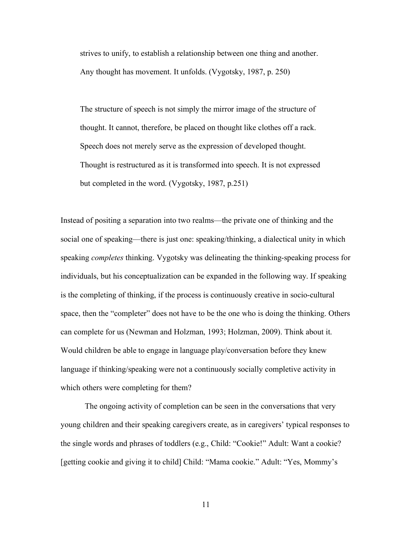strives to unify, to establish a relationship between one thing and another. Any thought has movement. It unfolds. (Vygotsky, 1987, p. 250)

The structure of speech is not simply the mirror image of the structure of thought. It cannot, therefore, be placed on thought like clothes off a rack. Speech does not merely serve as the expression of developed thought. Thought is restructured as it is transformed into speech. It is not expressed but completed in the word. (Vygotsky, 1987, p.251)

Instead of positing a separation into two realms—the private one of thinking and the social one of speaking—there is just one: speaking/thinking, a dialectical unity in which speaking *completes* thinking. Vygotsky was delineating the thinking-speaking process for individuals, but his conceptualization can be expanded in the following way. If speaking is the completing of thinking, if the process is continuously creative in socio-cultural space, then the "completer" does not have to be the one who is doing the thinking. Others can complete for us (Newman and Holzman, 1993; Holzman, 2009). Think about it. Would children be able to engage in language play/conversation before they knew language if thinking/speaking were not a continuously socially completive activity in which others were completing for them?

The ongoing activity of completion can be seen in the conversations that very young children and their speaking caregivers create, as in caregivers' typical responses to the single words and phrases of toddlers (e.g., Child: "Cookie!" Adult: Want a cookie? [getting cookie and giving it to child] Child: "Mama cookie." Adult: "Yes, Mommy's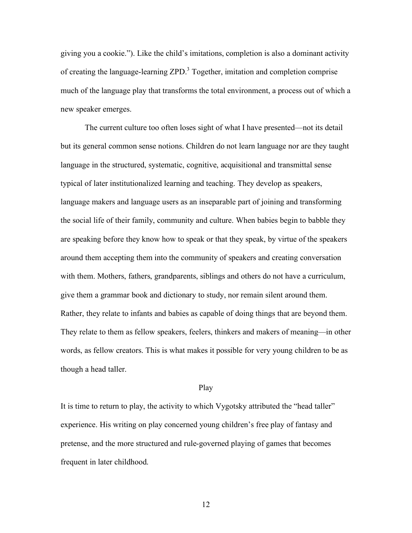giving you a cookie."). Like the child's imitations, completion is also a dominant activity of creating the language-learning ZPD.<sup>3</sup> Together, imitation and completion comprise much of the language play that transforms the total environment, a process out of which a new speaker emerges.

The current culture too often loses sight of what I have presented—not its detail but its general common sense notions. Children do not learn language nor are they taught language in the structured, systematic, cognitive, acquisitional and transmittal sense typical of later institutionalized learning and teaching. They develop as speakers, language makers and language users as an inseparable part of joining and transforming the social life of their family, community and culture. When babies begin to babble they are speaking before they know how to speak or that they speak, by virtue of the speakers around them accepting them into the community of speakers and creating conversation with them. Mothers, fathers, grandparents, siblings and others do not have a curriculum, give them a grammar book and dictionary to study, nor remain silent around them. Rather, they relate to infants and babies as capable of doing things that are beyond them. They relate to them as fellow speakers, feelers, thinkers and makers of meaning—in other words, as fellow creators. This is what makes it possible for very young children to be as though a head taller.

#### Play

It is time to return to play, the activity to which Vygotsky attributed the "head taller" experience. His writing on play concerned young children's free play of fantasy and pretense, and the more structured and rule-governed playing of games that becomes frequent in later childhood.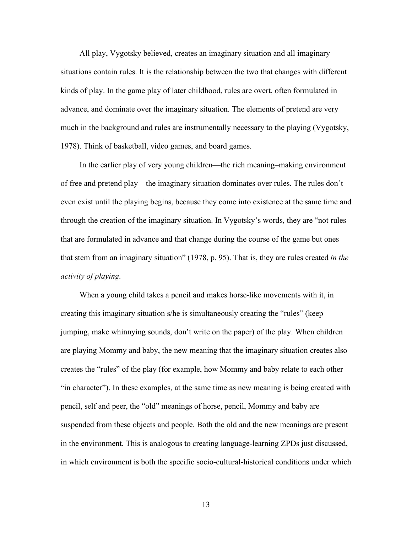All play, Vygotsky believed, creates an imaginary situation and all imaginary situations contain rules. It is the relationship between the two that changes with different kinds of play. In the game play of later childhood, rules are overt, often formulated in advance, and dominate over the imaginary situation. The elements of pretend are very much in the background and rules are instrumentally necessary to the playing (Vygotsky, 1978). Think of basketball, video games, and board games.

In the earlier play of very young children—the rich meaning–making environment of free and pretend play—the imaginary situation dominates over rules. The rules don't even exist until the playing begins, because they come into existence at the same time and through the creation of the imaginary situation. In Vygotsky's words, they are "not rules that are formulated in advance and that change during the course of the game but ones that stem from an imaginary situation" (1978, p. 95). That is, they are rules created *in the activity of playing*.

When a young child takes a pencil and makes horse-like movements with it, in creating this imaginary situation s/he is simultaneously creating the "rules" (keep jumping, make whinnying sounds, don't write on the paper) of the play. When children are playing Mommy and baby, the new meaning that the imaginary situation creates also creates the "rules" of the play (for example, how Mommy and baby relate to each other "in character"). In these examples, at the same time as new meaning is being created with pencil, self and peer, the "old" meanings of horse, pencil, Mommy and baby are suspended from these objects and people. Both the old and the new meanings are present in the environment. This is analogous to creating language-learning ZPDs just discussed, in which environment is both the specific socio-cultural-historical conditions under which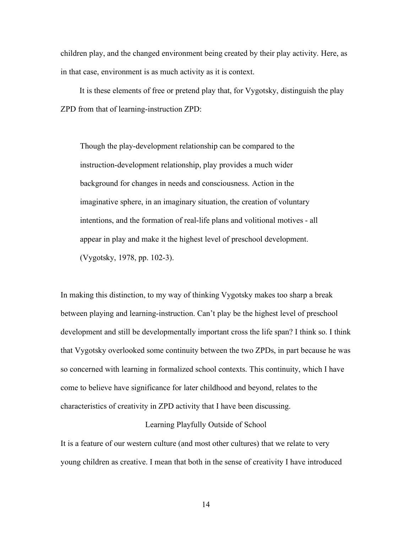children play, and the changed environment being created by their play activity. Here, as in that case, environment is as much activity as it is context.

It is these elements of free or pretend play that, for Vygotsky, distinguish the play ZPD from that of learning-instruction ZPD:

Though the play-development relationship can be compared to the instruction-development relationship, play provides a much wider background for changes in needs and consciousness. Action in the imaginative sphere, in an imaginary situation, the creation of voluntary intentions, and the formation of real-life plans and volitional motives - all appear in play and make it the highest level of preschool development. (Vygotsky, 1978, pp. 102-3).

In making this distinction, to my way of thinking Vygotsky makes too sharp a break between playing and learning-instruction. Can't play be the highest level of preschool development and still be developmentally important cross the life span? I think so. I think that Vygotsky overlooked some continuity between the two ZPDs, in part because he was so concerned with learning in formalized school contexts. This continuity, which I have come to believe have significance for later childhood and beyond, relates to the characteristics of creativity in ZPD activity that I have been discussing.

# Learning Playfully Outside of School

It is a feature of our western culture (and most other cultures) that we relate to very young children as creative. I mean that both in the sense of creativity I have introduced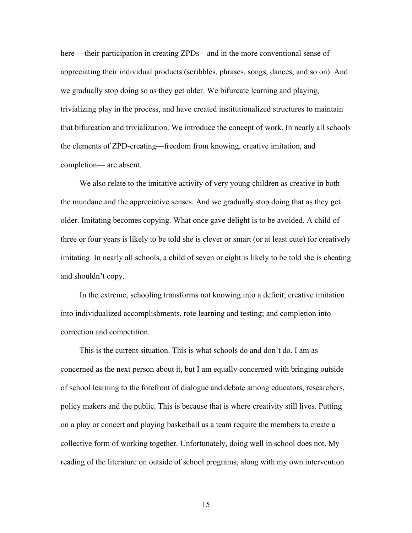here —their participation in creating ZPDs—and in the more conventional sense of appreciating their individual products (scribbles, phrases, songs, dances, and so on). And we gradually stop doing so as they get older. We bifurcate learning and playing, trivializing play in the process, and have created institutionalized structures to maintain that bifurcation and trivialization. We introduce the concept of work. In nearly all schools the elements of ZPD-creating—freedom from knowing, creative imitation, and completion— are absent.

We also relate to the imitative activity of very young children as creative in both the mundane and the appreciative senses. And we gradually stop doing that as they get older. Imitating becomes copying. What once gave delight is to be avoided. A child of three or four years is likely to be told she is clever or smart (or at least cute) for creatively imitating. In nearly all schools, a child of seven or eight is likely to be told she is cheating and shouldn't copy.

In the extreme, schooling transforms not knowing into a deficit; creative imitation into individualized accomplishments, rote learning and testing; and completion into correction and competition.

This is the current situation. This is what schools do and don't do. I am as concerned as the next person about it, but I am equally concerned with bringing outside of school learning to the forefront of dialogue and debate among educators, researchers, policy makers and the public. This is because that is where creativity still lives. Putting on a play or concert and playing basketball as a team require the members to create a collective form of working together. Unfortunately, doing well in school does not. My reading of the literature on outside of school programs, along with my own intervention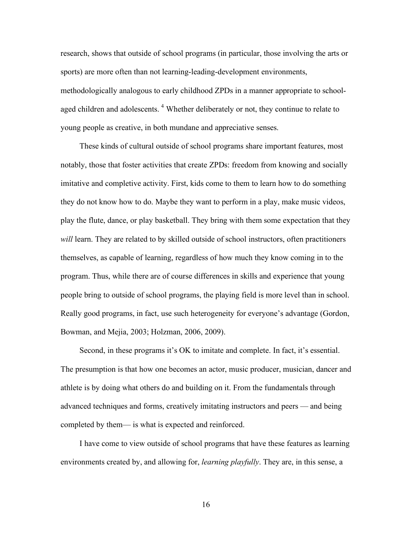research, shows that outside of school programs (in particular, those involving the arts or sports) are more often than not learning-leading-development environments, methodologically analogous to early childhood ZPDs in a manner appropriate to schoolaged children and adolescents.<sup>4</sup> Whether deliberately or not, they continue to relate to young people as creative, in both mundane and appreciative senses.

These kinds of cultural outside of school programs share important features, most notably, those that foster activities that create ZPDs: freedom from knowing and socially imitative and completive activity. First, kids come to them to learn how to do something they do not know how to do. Maybe they want to perform in a play, make music videos, play the flute, dance, or play basketball. They bring with them some expectation that they *will* learn. They are related to by skilled outside of school instructors, often practitioners themselves, as capable of learning, regardless of how much they know coming in to the program. Thus, while there are of course differences in skills and experience that young people bring to outside of school programs, the playing field is more level than in school. Really good programs, in fact, use such heterogeneity for everyone's advantage (Gordon, Bowman, and Mejia, 2003; Holzman, 2006, 2009).

Second, in these programs it's OK to imitate and complete. In fact, it's essential. The presumption is that how one becomes an actor, music producer, musician, dancer and athlete is by doing what others do and building on it. From the fundamentals through advanced techniques and forms, creatively imitating instructors and peers — and being completed by them— is what is expected and reinforced.

I have come to view outside of school programs that have these features as learning environments created by, and allowing for, *learning playfully*. They are, in this sense, a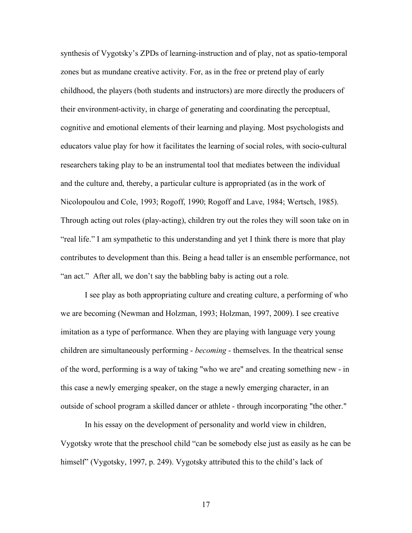synthesis of Vygotsky's ZPDs of learning-instruction and of play, not as spatio-temporal zones but as mundane creative activity. For, as in the free or pretend play of early childhood, the players (both students and instructors) are more directly the producers of their environment-activity, in charge of generating and coordinating the perceptual, cognitive and emotional elements of their learning and playing. Most psychologists and educators value play for how it facilitates the learning of social roles, with socio-cultural researchers taking play to be an instrumental tool that mediates between the individual and the culture and, thereby, a particular culture is appropriated (as in the work of Nicolopoulou and Cole, 1993; Rogoff, 1990; Rogoff and Lave, 1984; Wertsch, 1985). Through acting out roles (play-acting), children try out the roles they will soon take on in "real life." I am sympathetic to this understanding and yet I think there is more that play contributes to development than this. Being a head taller is an ensemble performance, not "an act." After all, we don't say the babbling baby is acting out a role.

I see play as both appropriating culture and creating culture, a performing of who we are becoming (Newman and Holzman, 1993; Holzman, 1997, 2009). I see creative imitation as a type of performance. When they are playing with language very young children are simultaneously performing - *becoming* - themselves. In the theatrical sense of the word, performing is a way of taking "who we are" and creating something new - in this case a newly emerging speaker, on the stage a newly emerging character, in an outside of school program a skilled dancer or athlete - through incorporating "the other."

In his essay on the development of personality and world view in children, Vygotsky wrote that the preschool child "can be somebody else just as easily as he can be himself" (Vygotsky, 1997, p. 249). Vygotsky attributed this to the child's lack of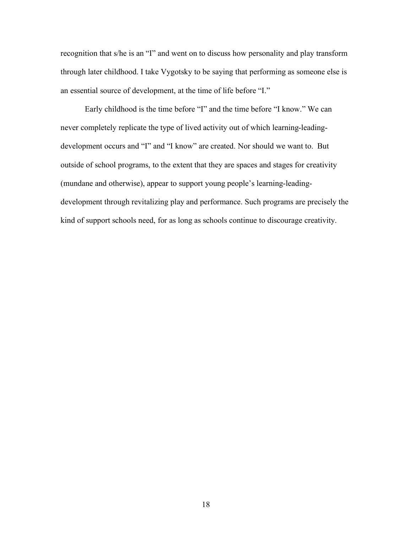recognition that s/he is an "I" and went on to discuss how personality and play transform through later childhood. I take Vygotsky to be saying that performing as someone else is an essential source of development, at the time of life before "I."

Early childhood is the time before "I" and the time before "I know." We can never completely replicate the type of lived activity out of which learning-leadingdevelopment occurs and "I" and "I know" are created. Nor should we want to. But outside of school programs, to the extent that they are spaces and stages for creativity (mundane and otherwise), appear to support young people's learning-leadingdevelopment through revitalizing play and performance. Such programs are precisely the kind of support schools need, for as long as schools continue to discourage creativity.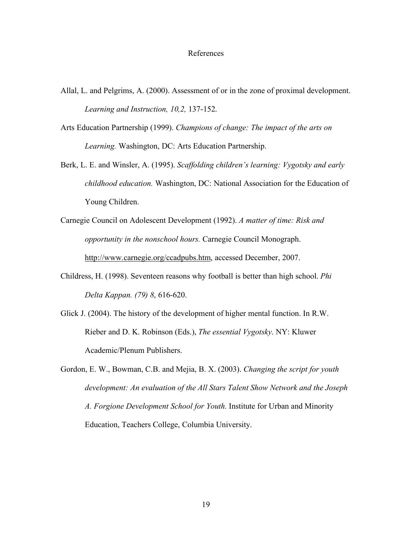### References

- Allal, L. and Pelgrims, A. (2000). Assessment of or in the zone of proximal development. *Learning and Instruction, 10,2,* 137-152.
- Arts Education Partnership (1999). *Champions of change: The impact of the arts on Learning.* Washington, DC: Arts Education Partnership.
- Berk, L. E. and Winsler, A. (1995). *Scaffolding children's learning: Vygotsky and early childhood education.* Washington, DC: National Association for the Education of Young Children.
- Carnegie Council on Adolescent Development (1992). *A matter of time: Risk and opportunity in the nonschool hours.* Carnegie Council Monograph. http://www.carnegie.org/ccadpubs.htm, accessed December, 2007.
- Childress, H. (1998). Seventeen reasons why football is better than high school. *Phi Delta Kappan. (79) 8*, 616-620.
- Glick J. (2004). The history of the development of higher mental function. In R.W. Rieber and D. K. Robinson (Eds.), *The essential Vygotsky*. NY: Kluwer Academic/Plenum Publishers.
- Gordon, E. W., Bowman, C.B. and Mejia, B. X. (2003). *Changing the script for youth development: An evaluation of the All Stars Talent Show Network and the Joseph A. Forgione Development School for Youth.* Institute for Urban and Minority Education, Teachers College, Columbia University.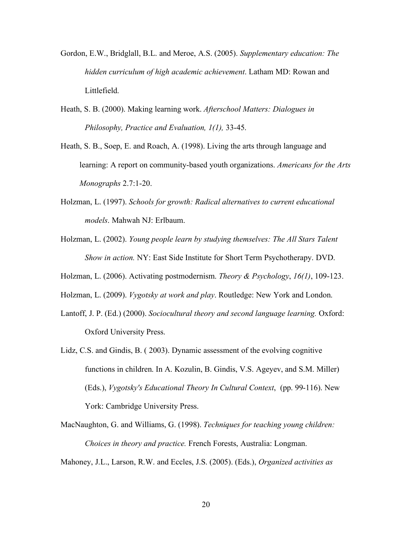- Gordon, E.W., Bridglall, B.L. and Meroe, A.S. (2005). *Supplementary education: The hidden curriculum of high academic achievement*. Latham MD: Rowan and Littlefield.
- Heath, S. B. (2000). Making learning work. *Afterschool Matters: Dialogues in Philosophy, Practice and Evaluation, 1(1),* 33-45.
- Heath, S. B., Soep, E. and Roach, A. (1998). Living the arts through language and learning: A report on community-based youth organizations. *Americans for the Arts Monographs* 2.7:1-20.
- Holzman, L. (1997). *Schools for growth: Radical alternatives to current educational models*. Mahwah NJ: Erlbaum.
- Holzman, L. (2002). *Young people learn by studying themselves: The All Stars Talent Show in action.* NY: East Side Institute for Short Term Psychotherapy. DVD.
- Holzman, L. (2006). Activating postmodernism. *Theory & Psychology*, *16(1)*, 109-123.
- Holzman, L. (2009). *Vygotsky at work and play*. Routledge: New York and London.
- Lantoff, J. P. (Ed.) (2000). *Sociocultural theory and second language learning.* Oxford: Oxford University Press.
- Lidz, C.S. and Gindis, B. ( 2003). Dynamic assessment of the evolving cognitive functions in children. In A. Kozulin, B. Gindis, V.S. Ageyev, and S.M. Miller) (Eds.), *Vygotsky's Educational Theory In Cultural Context*, (pp. 99-116). New York: Cambridge University Press.
- MacNaughton, G. and Williams, G. (1998). *Techniques for teaching young children: Choices in theory and practice.* French Forests, Australia: Longman.

Mahoney, J.L., Larson, R.W. and Eccles, J.S. (2005). (Eds.), *Organized activities as*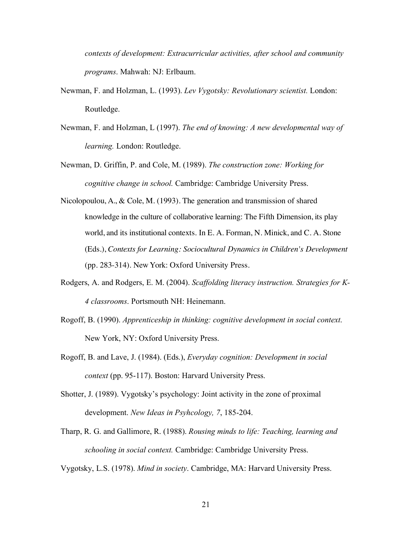*contexts of development: Extracurricular activities, after school and community programs*. Mahwah: NJ: Erlbaum.

- Newman, F. and Holzman, L. (1993). *Lev Vygotsky: Revolutionary scientist.* London: Routledge.
- Newman, F. and Holzman, L (1997). *The end of knowing: A new developmental way of learning.* London: Routledge.
- Newman, D. Griffin, P. and Cole, M. (1989). *The construction zone: Working for cognitive change in school.* Cambridge: Cambridge University Press.
- Nicolopoulou, A., & Cole, M. (1993). The generation and transmission of shared knowledge in the culture of collaborative learning: The Fifth Dimension, its play world, and its institutional contexts. In E. A. Forman, N. Minick, and C. A. Stone (Eds.), *Contexts for Learning: Sociocultural Dynamics in Children's Development*  (pp. 283-314). New York: Oxford University Press.
- Rodgers, A. and Rodgers, E. M. (2004). *Scaffolding literacy instruction. Strategies for K-4 classrooms*. Portsmouth NH: Heinemann.
- Rogoff, B. (1990). *Apprenticeship in thinking: cognitive development in social context*. New York, NY: Oxford University Press.
- Rogoff, B. and Lave, J. (1984). (Eds.), *Everyday cognition: Development in social context* (pp. 95-117). Boston: Harvard University Press.
- Shotter, J. (1989). Vygotsky's psychology: Joint activity in the zone of proximal development. *New Ideas in Psyhcology, 7*, 185-204.
- Tharp, R. G. and Gallimore, R. (1988). *Rousing minds to life: Teaching, learning and schooling in social context.* Cambridge: Cambridge University Press.

Vygotsky, L.S. (1978). *Mind in society*. Cambridge, MA: Harvard University Press.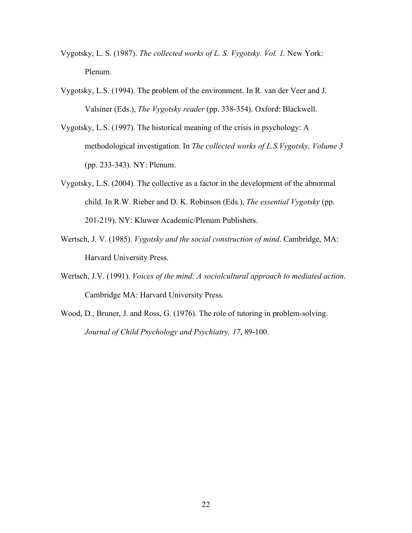- Vygotsky, L. S. (1987). *The collected works of L. S. Vygotsky. Vol. 1.* New York: Plenum.
- Vygotsky, L.S. (1994). The problem of the environment. In R. van der Veer and J. Valsiner (Eds.), *The Vygotsky reader* (pp. 338-354). Oxford: Blackwell.
- Vygotsky, L.S. (1997). The historical meaning of the crisis in psychology: A methodological investigation. In *The collected works of L.S.Vygotsky, Volume 3* (pp. 233-343). NY: Plenum.
- Vygotsky, L.S. (2004). The collective as a factor in the development of the abnormal child. In R.W. Rieber and D. K. Robinson (Eds.), *The essential Vygotsky* (pp. 201-219). NY: Kluwer Academic/Plenum Publishers.
- Wertsch, J. V. (1985). *Vygotsky and the social construction of mind*. Cambridge, MA: Harvard University Press.
- Wertsch, J.V. (1991). *Voices of the mind: A sociolcultural approach to mediated action*. Cambridge MA: Harvard University Press.
- Wood, D., Bruner, J. and Ross, G. (1976). The role of tutoring in problem-solving. *Journal of Child Psychology and Psychiatry, 17*, 89-100.